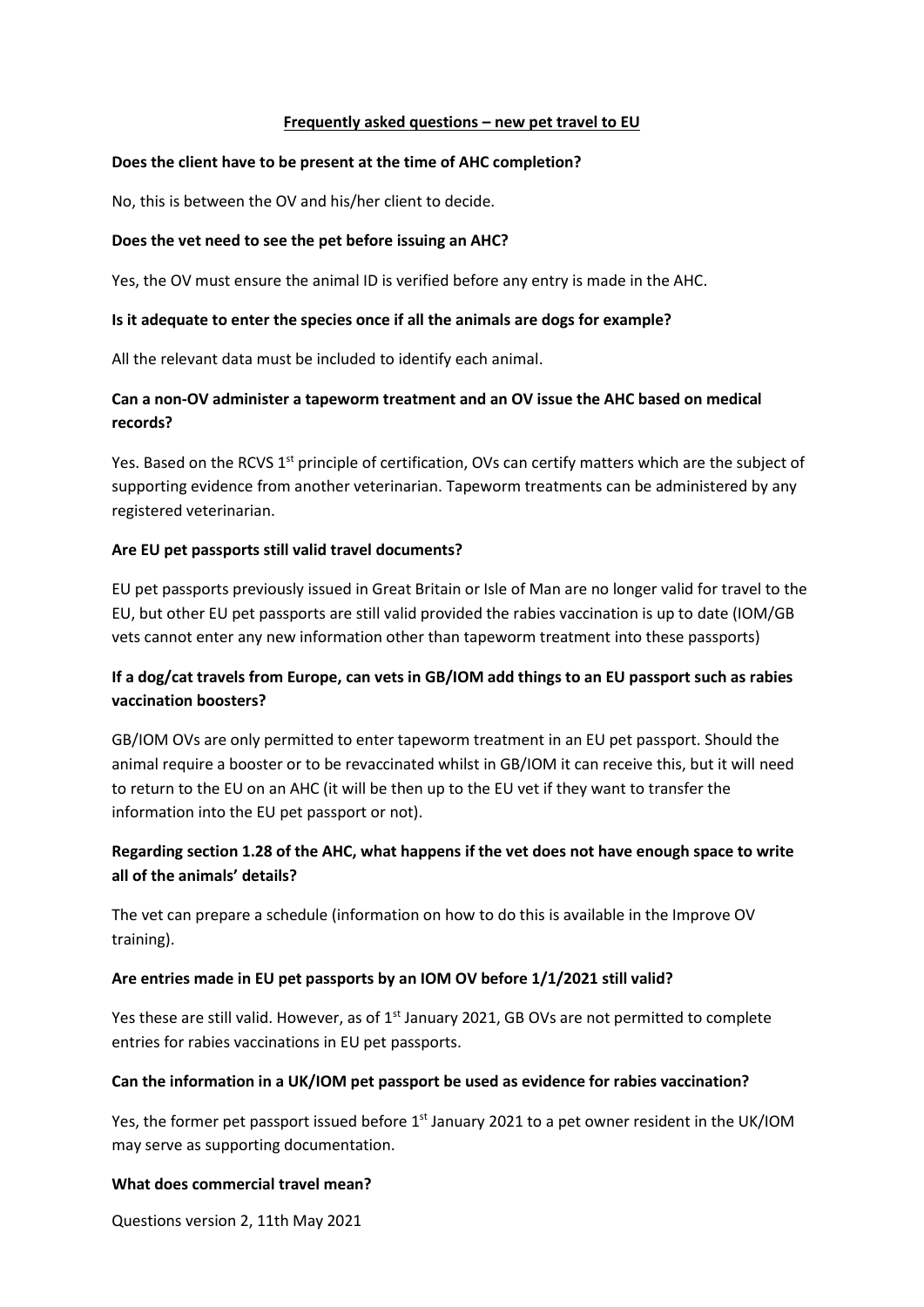### **Frequently asked questions – new pet travel to EU**

### **Does the client have to be present at the time of AHC completion?**

No, this is between the OV and his/her client to decide.

### **Does the vet need to see the pet before issuing an AHC?**

Yes, the OV must ensure the animal ID is verified before any entry is made in the AHC.

### **Is it adequate to enter the species once if all the animals are dogs for example?**

All the relevant data must be included to identify each animal.

## **Can a non-OV administer a tapeworm treatment and an OV issue the AHC based on medical records?**

Yes. Based on the RCVS 1<sup>st</sup> principle of certification, OVs can certify matters which are the subject of supporting evidence from another veterinarian. Tapeworm treatments can be administered by any registered veterinarian.

### **Are EU pet passports still valid travel documents?**

EU pet passports previously issued in Great Britain or Isle of Man are no longer valid for travel to the EU, but other EU pet passports are still valid provided the rabies vaccination is up to date (IOM/GB vets cannot enter any new information other than tapeworm treatment into these passports)

# **If a dog/cat travels from Europe, can vets in GB/IOM add things to an EU passport such as rabies vaccination boosters?**

GB/IOM OVs are only permitted to enter tapeworm treatment in an EU pet passport. Should the animal require a booster or to be revaccinated whilst in GB/IOM it can receive this, but it will need to return to the EU on an AHC (it will be then up to the EU vet if they want to transfer the information into the EU pet passport or not).

# **Regarding section 1.28 of the AHC, what happens if the vet does not have enough space to write all of the animals' details?**

The vet can prepare a schedule (information on how to do this is available in the Improve OV training).

### **Are entries made in EU pet passports by an IOM OV before 1/1/2021 still valid?**

Yes these are still valid. However, as of  $1<sup>st</sup>$  January 2021, GB OVs are not permitted to complete entries for rabies vaccinations in EU pet passports.

#### **Can the information in a UK/IOM pet passport be used as evidence for rabies vaccination?**

Yes, the former pet passport issued before 1<sup>st</sup> January 2021 to a pet owner resident in the UK/IOM may serve as supporting documentation.

#### **What does commercial travel mean?**

Questions version 2, 11th May 2021